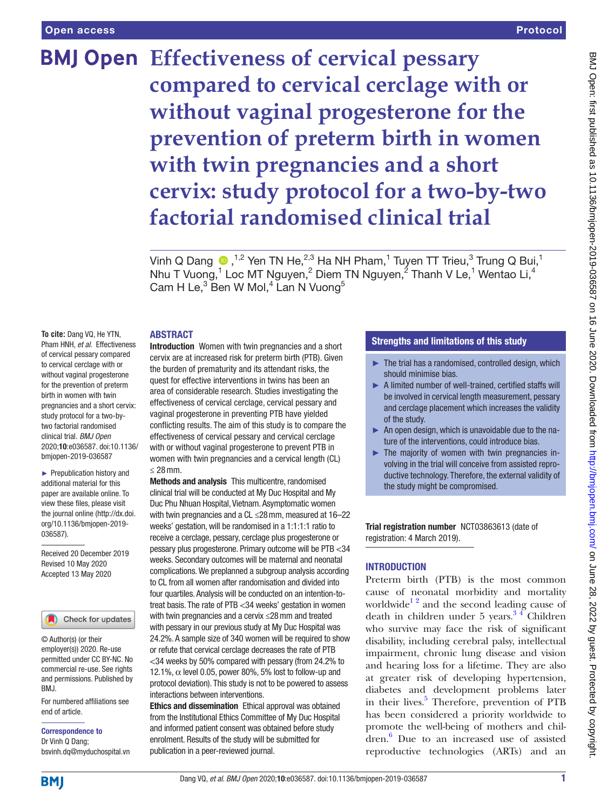# **BMJ Open Effectiveness of cervical pessary compared to cervical cerclage with or without vaginal progesterone for the prevention of preterm birth in women with twin pregnancies and a short cervix: study protocol for a two-by-two factorial randomised clinical trial**

Vinh Q Dang  $\, \, \bullet \,$ ,<sup>1,2</sup> Yen TN He,<sup>2,3</sup> Ha NH Pham,<sup>1</sup> Tuyen TT Trieu,<sup>3</sup> Trung Q Bui,<sup>1</sup> Nhu T Vuong,<sup>1</sup> Loc MT Nguyen,<sup>2</sup> Diem TN Nguyen,<sup>2</sup> Thanh V Le,<sup>1</sup> Wentao Li,<sup>4</sup> Cam H Le, $^3$  Ben W Mol, $^4$  Lan N Vuong $^5$ 

## **ABSTRACT**

**To cite:** Dang VQ, He YTN, Pham HNH, *et al*. Effectiveness of cervical pessary compared to cervical cerclage with or without vaginal progesterone for the prevention of preterm birth in women with twin pregnancies and a short cervix: study protocol for a two-bytwo factorial randomised clinical trial. *BMJ Open* 2020;10:e036587. doi:10.1136/ bmjopen-2019-036587

► Prepublication history and additional material for this paper are available online. To view these files, please visit the journal online (http://dx.doi. org/10.1136/bmjopen-2019- 036587).

Received 20 December 2019 Revised 10 May 2020 Accepted 13 May 2020

#### Check for updates

© Author(s) (or their employer(s)) 2020. Re-use permitted under CC BY-NC. No commercial re-use. See rights and permissions. Published by BMJ.

For numbered affiliations see end of article.

Correspondence to Dr Vinh Q Dang; bsvinh.dq@myduchospital.vn

Introduction Women with twin pregnancies and a short cervix are at increased risk for preterm birth (PTB). Given the burden of prematurity and its attendant risks, the quest for effective interventions in twins has been an area of considerable research. Studies investigating the effectiveness of cervical cerclage, cervical pessary and vaginal progesterone in preventing PTB have yielded conflicting results. The aim of this study is to compare the effectiveness of cervical pessary and cervical cerclage with or without vaginal progesterone to prevent PTB in women with twin pregnancies and a cervical length (CL) ≤ 28mm.

Methods and analysis This multicentre, randomised clinical trial will be conducted at My Duc Hospital and My Duc Phu Nhuan Hospital, Vietnam. Asymptomatic women with twin pregnancies and a CL ≤28mm, measured at 16–22 weeks' gestation, will be randomised in a 1:1:1:1 ratio to receive a cerclage, pessary, cerclage plus progesterone or pessary plus progesterone. Primary outcome will be PTB <34 weeks. Secondary outcomes will be maternal and neonatal complications. We preplanned a subgroup analysis according to CL from all women after randomisation and divided into four quartiles. Analysis will be conducted on an intention-totreat basis. The rate of PTB <34 weeks' gestation in women with twin pregnancies and a cervix ≤28mm and treated with pessary in our previous study at My Duc Hospital was 24.2%. A sample size of 340 women will be required to show or refute that cervical cerclage decreases the rate of PTB <34 weeks by 50% compared with pessary (from 24.2% to 12.1%,  $\alpha$  level 0.05, power 80%, 5% lost to follow-up and protocol deviation). This study is not to be powered to assess interactions between interventions.

Ethics and dissemination Ethical approval was obtained from the Institutional Ethics Committee of My Duc Hospital and informed patient consent was obtained before study enrolment. Results of the study will be submitted for publication in a peer-reviewed journal.

## Strengths and limitations of this study

- $\blacktriangleright$  The trial has a randomised, controlled design, which should minimise bias.
- ► A limited number of well-trained, certified staffs will be involved in cervical length measurement, pessary and cerclage placement which increases the validity of the study.
- ► An open design, which is unavoidable due to the nature of the interventions, could introduce bias.
- ► The majority of women with twin pregnancies involving in the trial will conceive from assisted reproductive technology. Therefore, the external validity of the study might be compromised.

Trial registration number <NCT03863613>(date of registration: 4 March 2019).

## **INTRODUCTION**

Preterm birth (PTB) is the most common cause of neonatal morbidity and mortality worldwide<sup>12</sup> and the second leading cause of death in children under  $5$  years.<sup>34</sup> Children who survive may face the risk of significant disability, including cerebral palsy, intellectual impairment, chronic lung disease and vision and hearing loss for a lifetime. They are also at greater risk of developing hypertension, diabetes and development problems later in their lives.<sup>[5](#page-6-2)</sup> Therefore, prevention of PTB has been considered a priority worldwide to promote the well-being of mothers and children[.6](#page-6-3) Due to an increased use of assisted reproductive technologies (ARTs) and an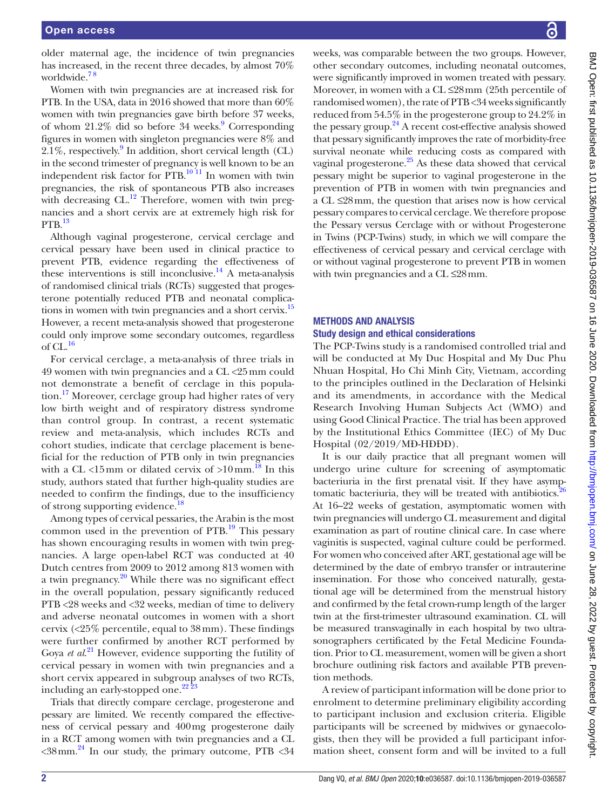older maternal age, the incidence of twin pregnancies has increased, in the recent three decades, by almost 70% worldwide. $7<sup>8</sup>$ 

Women with twin pregnancies are at increased risk for PTB. In the USA, data in 2016 showed that more than 60% women with twin pregnancies gave birth before 37 weeks, of whom 21.2% did so before 34 weeks.<sup>[9](#page-6-5)</sup> Corresponding figures in women with singleton pregnancies were 8% and 2.1%, respectively.<sup>[9](#page-6-5)</sup> In addition, short cervical length (CL) in the second trimester of pregnancy is well known to be an independent risk factor for PTB.<sup>10 11</sup> In women with twin pregnancies, the risk of spontaneous PTB also increases with decreasing  $CL$ .<sup>12</sup> Therefore, women with twin pregnancies and a short cervix are at extremely high risk for  $PTB.$ <sup>13</sup>

Although vaginal progesterone, cervical cerclage and cervical pessary have been used in clinical practice to prevent PTB, evidence regarding the effectiveness of these interventions is still inconclusive.<sup>14</sup> A meta-analysis of randomised clinical trials (RCTs) suggested that progesterone potentially reduced PTB and neonatal complica-tions in women with twin pregnancies and a short cervix.<sup>[15](#page-6-10)</sup> However, a recent meta-analysis showed that progesterone could only improve some secondary outcomes, regardless of  $CL$ .<sup>[16](#page-6-11)</sup>

For cervical cerclage, a meta-analysis of three trials in 49 women with twin pregnancies and a CL <25mm could not demonstrate a benefit of cerclage in this population.<sup>17</sup> Moreover, cerclage group had higher rates of very low birth weight and of respiratory distress syndrome than control group. In contrast, a recent systematic review and meta-analysis, which includes RCTs and cohort studies, indicate that cerclage placement is beneficial for the reduction of PTB only in twin pregnancies with a CL <15mm or dilated cervix of >10mm.<sup>[18](#page-6-13)</sup> In this study, authors stated that further high-quality studies are needed to confirm the findings, due to the insufficiency of strong supporting evidence.

Among types of cervical pessaries, the Arabin is the most common used in the prevention of  $PTB$ .<sup>[19](#page-6-14)</sup> This pessary has shown encouraging results in women with twin pregnancies. A large open-label RCT was conducted at 40 Dutch centres from 2009 to 2012 among 813 women with a twin pregnancy. $20$  While there was no significant effect in the overall population, pessary significantly reduced PTB <28 weeks and <32 weeks, median of time to delivery and adverse neonatal outcomes in women with a short cervix (<25% percentile, equal to 38mm). These findings were further confirmed by another RCT performed by Goya *et al*. [21](#page-6-16) However, evidence supporting the futility of cervical pessary in women with twin pregnancies and a short cervix appeared in subgroup analyses of two RCTs, including an early-stopped one.<sup>22 23</sup>

Trials that directly compare cerclage, progesterone and pessary are limited. We recently compared the effectiveness of cervical pessary and 400mg progesterone daily in a RCT among women with twin pregnancies and a CL  $\langle 38 \text{mm.}^{24} \rangle$  In our study, the primary outcome, PTB  $\langle 34 \rangle$ 

weeks, was comparable between the two groups. However, other secondary outcomes, including neonatal outcomes, were significantly improved in women treated with pessary. Moreover, in women with a CL ≤28mm (25th percentile of randomised women), the rate of PTB <34 weeks significantly reduced from 54.5% in the progesterone group to 24.2% in the pessary group. $24$  A recent cost-effective analysis showed that pessary significantly improves the rate of morbidity-free survival neonate while reducing costs as compared with vaginal progesterone. $^{25}$  As these data showed that cervical pessary might be superior to vaginal progesterone in the prevention of PTB in women with twin pregnancies and a CL ≤28mm, the question that arises now is how cervical pessary compares to cervical cerclage. We therefore propose the Pessary versus Cerclage with or without Progesterone in Twins (PCP-Twins) study, in which we will compare the effectiveness of cervical pessary and cervical cerclage with or without vaginal progesterone to prevent PTB in women with twin pregnancies and a CL ≤28mm.

# Methods and analysis

## Study design and ethical considerations

The PCP-Twins study is a randomised controlled trial and will be conducted at My Duc Hospital and My Duc Phu Nhuan Hospital, Ho Chi Minh City, Vietnam, according to the principles outlined in the Declaration of Helsinki and its amendments, in accordance with the Medical Research Involving Human Subjects Act (WMO) and using Good Clinical Practice. The trial has been approved by the Institutional Ethics Committee (IEC) of My Duc Hospital (02/2019/MĐ-HĐĐĐ).

It is our daily practice that all pregnant women will undergo urine culture for screening of asymptomatic bacteriuria in the first prenatal visit. If they have asymptomatic bacteriuria, they will be treated with antibiotics.<sup>26</sup> At 16–22 weeks of gestation, asymptomatic women with twin pregnancies will undergo CL measurement and digital examination as part of routine clinical care. In case where vaginitis is suspected, vaginal culture could be performed. For women who conceived after ART, gestational age will be determined by the date of embryo transfer or intrauterine insemination. For those who conceived naturally, gestational age will be determined from the menstrual history and confirmed by the fetal crown-rump length of the larger twin at the first-trimester ultrasound examination. CL will be measured transvaginally in each hospital by two ultrasonographers certificated by the Fetal Medicine Foundation. Prior to CL measurement, women will be given a short brochure outlining risk factors and available PTB prevention methods.

A review of participant information will be done prior to enrolment to determine preliminary eligibility according to participant inclusion and exclusion criteria. Eligible participants will be screened by midwives or gynaecologists, then they will be provided a full participant information sheet, consent form and will be invited to a full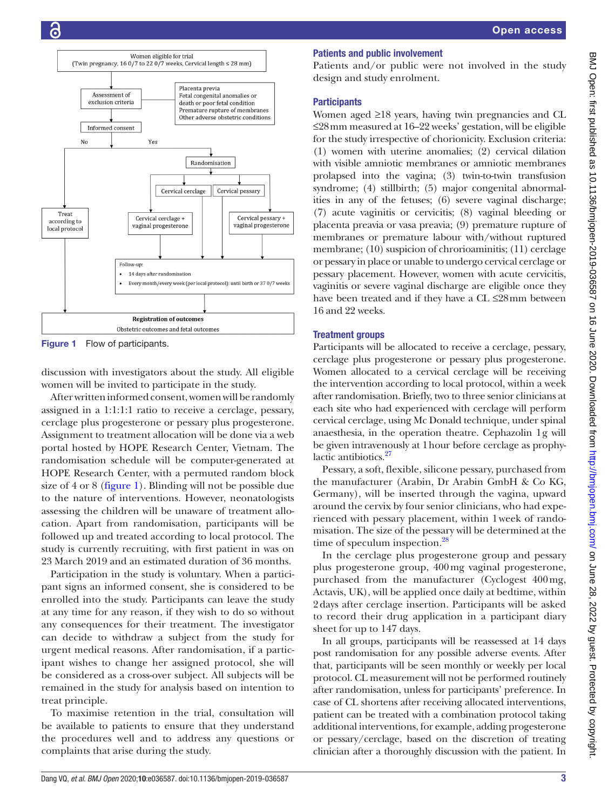

<span id="page-2-0"></span>Figure 1 Flow of participants.

discussion with investigators about the study. All eligible women will be invited to participate in the study.

After written informed consent, women will be randomly assigned in a 1:1:1:1 ratio to receive a cerclage, pessary, cerclage plus progesterone or pessary plus progesterone. Assignment to treatment allocation will be done via a web portal hosted by HOPE Research Center, Vietnam. The randomisation schedule will be computer-generated at HOPE Research Center, with a permuted random block size of 4 or 8 [\(figure](#page-2-0) 1). Blinding will not be possible due to the nature of interventions. However, neonatologists assessing the children will be unaware of treatment allocation. Apart from randomisation, participants will be followed up and treated according to local protocol. The study is currently recruiting, with first patient in was on 23 March 2019 and an estimated duration of 36 months.

Participation in the study is voluntary. When a participant signs an informed consent, she is considered to be enrolled into the study. Participants can leave the study at any time for any reason, if they wish to do so without any consequences for their treatment. The investigator can decide to withdraw a subject from the study for urgent medical reasons. After randomisation, if a participant wishes to change her assigned protocol, she will be considered as a cross-over subject. All subjects will be remained in the study for analysis based on intention to treat principle.

To maximise retention in the trial, consultation will be available to patients to ensure that they understand the procedures well and to address any questions or complaints that arise during the study.

# Patients and public involvement

Patients and/or public were not involved in the study design and study enrolment.

# **Participants**

Women aged ≥18 years, having twin pregnancies and CL ≤28mm measured at 16–22 weeks' gestation, will be eligible for the study irrespective of chorionicity. Exclusion criteria: (1) women with uterine anomalies; (2) cervical dilation with visible amniotic membranes or amniotic membranes prolapsed into the vagina; (3) twin-to-twin transfusion syndrome; (4) stillbirth; (5) major congenital abnormalities in any of the fetuses; (6) severe vaginal discharge; (7) acute vaginitis or cervicitis; (8) vaginal bleeding or placenta preavia or vasa preavia; (9) premature rupture of membranes or premature labour with/without ruptured membrane; (10) suspicion of chrorioaminitis; (11) cerclage or pessary in place or unable to undergo cervical cerclage or pessary placement. However, women with acute cervicitis, vaginitis or severe vaginal discharge are eligible once they have been treated and if they have a CL ≤28mm between 16 and 22 weeks.

# Treatment groups

Participants will be allocated to receive a cerclage, pessary, cerclage plus progesterone or pessary plus progesterone. Women allocated to a cervical cerclage will be receiving the intervention according to local protocol, within a week after randomisation. Briefly, two to three senior clinicians at each site who had experienced with cerclage will perform cervical cerclage, using Mc Donald technique, under spinal anaesthesia, in the operation theatre. Cephazolin 1g will be given intravenously at 1hour before cerclage as prophylactic antibiotics.<sup>27</sup>

Pessary, a soft, flexible, silicone pessary, purchased from the manufacturer (Arabin, Dr Arabin GmbH & Co KG, Germany), will be inserted through the vagina, upward around the cervix by four senior clinicians, who had experienced with pessary placement, within 1week of randomisation. The size of the pessary will be determined at the time of speculum inspection.<sup>28</sup>

In the cerclage plus progesterone group and pessary plus progesterone group, 400mg vaginal progesterone, purchased from the manufacturer (Cyclogest 400mg, Actavis, UK), will be applied once daily at bedtime, within 2days after cerclage insertion. Participants will be asked to record their drug application in a participant diary sheet for up to 147 days.

In all groups, participants will be reassessed at 14 days post randomisation for any possible adverse events. After that, participants will be seen monthly or weekly per local protocol. CL measurement will not be performed routinely after randomisation, unless for participants' preference. In case of CL shortens after receiving allocated interventions, patient can be treated with a combination protocol taking additional interventions, for example, adding progesterone or pessary/cerclage, based on the discretion of treating clinician after a thoroughly discussion with the patient. In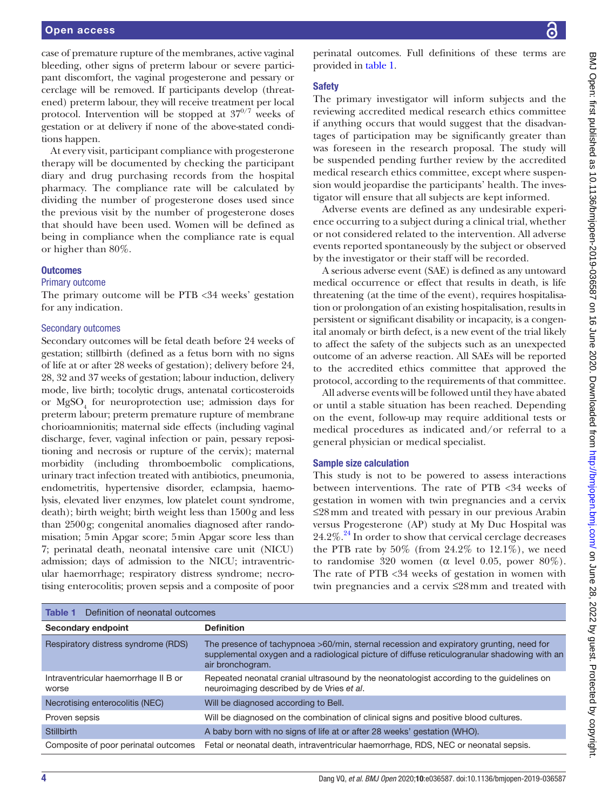case of premature rupture of the membranes, active vaginal bleeding, other signs of preterm labour or severe participant discomfort, the vaginal progesterone and pessary or cerclage will be removed. If participants develop (threatened) preterm labour, they will receive treatment per local protocol. Intervention will be stopped at  $37^{0/7}$  weeks of gestation or at delivery if none of the above-stated conditions happen.

At every visit, participant compliance with progesterone therapy will be documented by checking the participant diary and drug purchasing records from the hospital pharmacy. The compliance rate will be calculated by dividing the number of progesterone doses used since the previous visit by the number of progesterone doses that should have been used. Women will be defined as being in compliance when the compliance rate is equal or higher than 80%.

## **Outcomes**

#### Primary outcome

The primary outcome will be PTB <34 weeks' gestation for any indication.

#### Secondary outcomes

Secondary outcomes will be fetal death before 24 weeks of gestation; stillbirth (defined as a fetus born with no signs of life at or after 28 weeks of gestation); delivery before 24, 28, 32 and 37 weeks of gestation; labour induction, delivery mode, live birth; tocolytic drugs, antenatal corticosteroids or  $MgSO<sub>4</sub>$  for neuroprotection use; admission days for preterm labour; preterm premature rupture of membrane chorioamnionitis; maternal side effects (including vaginal discharge, fever, vaginal infection or pain, pessary repositioning and necrosis or rupture of the cervix); maternal morbidity (including thromboembolic complications, urinary tract infection treated with antibiotics, pneumonia, endometritis, hypertensive disorder, eclampsia, haemolysis, elevated liver enzymes, low platelet count syndrome, death); birth weight; birth weight less than 1500g and less than 2500g; congenital anomalies diagnosed after randomisation; 5min Apgar score; 5min Apgar score less than 7; perinatal death, neonatal intensive care unit (NICU) admission; days of admission to the NICU; intraventricular haemorrhage; respiratory distress syndrome; necrotising enterocolitis; proven sepsis and a composite of poor

perinatal outcomes. Full definitions of these terms are provided in [table](#page-3-0) 1.

### Safety

The primary investigator will inform subjects and the reviewing accredited medical research ethics committee if anything occurs that would suggest that the disadvantages of participation may be significantly greater than was foreseen in the research proposal. The study will be suspended pending further review by the accredited medical research ethics committee, except where suspension would jeopardise the participants' health. The investigator will ensure that all subjects are kept informed.

Adverse events are defined as any undesirable experience occurring to a subject during a clinical trial, whether or not considered related to the intervention. All adverse events reported spontaneously by the subject or observed by the investigator or their staff will be recorded.

A serious adverse event (SAE) is defined as any untoward medical occurrence or effect that results in death, is life threatening (at the time of the event), requires hospitalisation or prolongation of an existing hospitalisation, results in persistent or significant disability or incapacity, is a congenital anomaly or birth defect, is a new event of the trial likely to affect the safety of the subjects such as an unexpected outcome of an adverse reaction. All SAEs will be reported to the accredited ethics committee that approved the protocol, according to the requirements of that committee.

All adverse events will be followed until they have abated or until a stable situation has been reached. Depending on the event, follow-up may require additional tests or medical procedures as indicated and/or referral to a general physician or medical specialist.

## Sample size calculation

This study is not to be powered to assess interactions between interventions. The rate of PTB <34 weeks of gestation in women with twin pregnancies and a cervix ≤28mm and treated with pessary in our previous Arabin versus Progesterone (AP) study at My Duc Hospital was  $24.2\%$ <sup>24</sup>. In order to show that cervical cerclage decreases the PTB rate by  $50\%$  (from  $24.2\%$  to  $12.1\%$ ), we need to randomise 320 women (α level 0.05, power 80%). The rate of PTB <34 weeks of gestation in women with twin pregnancies and a cervix ≤28mm and treated with

<span id="page-3-0"></span>

| Definition of neonatal outcomes<br>Table 1    |                                                                                                                                                                                                             |
|-----------------------------------------------|-------------------------------------------------------------------------------------------------------------------------------------------------------------------------------------------------------------|
| Secondary endpoint                            | <b>Definition</b>                                                                                                                                                                                           |
| Respiratory distress syndrome (RDS)           | The presence of tachypnoea >60/min, sternal recession and expiratory grunting, need for<br>supplemental oxygen and a radiological picture of diffuse reticulogranular shadowing with an<br>air bronchogram. |
| Intraventricular haemorrhage II B or<br>worse | Repeated neonatal cranial ultrasound by the neonatologist according to the quidelines on<br>neuroimaging described by de Vries et al.                                                                       |
| Necrotising enterocolitis (NEC)               | Will be diagnosed according to Bell.                                                                                                                                                                        |
| Proven sepsis                                 | Will be diagnosed on the combination of clinical signs and positive blood cultures.                                                                                                                         |
| <b>Stillbirth</b>                             | A baby born with no signs of life at or after 28 weeks' gestation (WHO).                                                                                                                                    |
| Composite of poor perinatal outcomes          | Fetal or neonatal death, intraventricular haemorrhage, RDS, NEC or neonatal sepsis.                                                                                                                         |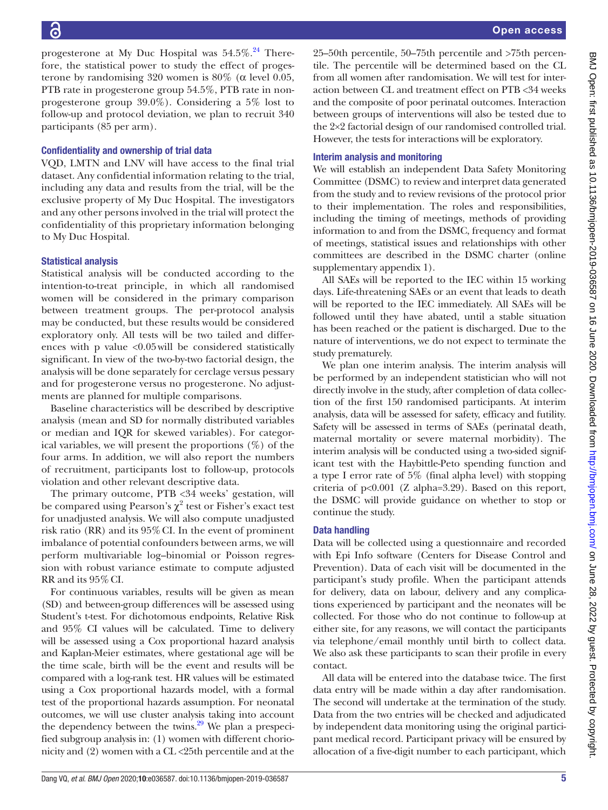progesterone at My Duc Hospital was  $54.5\%$ .<sup>24</sup> Therefore, the statistical power to study the effect of progesterone by randomising 320 women is  $80\%$  (α level 0.05, PTB rate in progesterone group 54.5%, PTB rate in nonprogesterone group 39.0%). Considering a 5% lost to follow-up and protocol deviation, we plan to recruit 340 participants (85 per arm).

## Confidentiality and ownership of trial data

VQD, LMTN and LNV will have access to the final trial dataset. Any confidential information relating to the trial, including any data and results from the trial, will be the exclusive property of My Duc Hospital. The investigators and any other persons involved in the trial will protect the confidentiality of this proprietary information belonging to My Duc Hospital.

# Statistical analysis

Statistical analysis will be conducted according to the intention-to-treat principle, in which all randomised women will be considered in the primary comparison between treatment groups. The per-protocol analysis may be conducted, but these results would be considered exploratory only. All tests will be two tailed and differences with p value  $\langle 0.05 \text{ will} \rangle$  be considered statistically significant. In view of the two-by-two factorial design, the analysis will be done separately for cerclage versus pessary and for progesterone versus no progesterone. No adjustments are planned for multiple comparisons.

Baseline characteristics will be described by descriptive analysis (mean and SD for normally distributed variables or median and IQR for skewed variables). For categorical variables, we will present the proportions  $(\%)$  of the four arms. In addition, we will also report the numbers of recruitment, participants lost to follow-up, protocols violation and other relevant descriptive data.

The primary outcome, PTB <34 weeks' gestation, will be compared using Pearson's  $\chi^2$  test or Fisher's exact test for unadjusted analysis. We will also compute unadjusted risk ratio (RR) and its 95%CI. In the event of prominent imbalance of potential confounders between arms, we will perform multivariable log–binomial or Poisson regression with robust variance estimate to compute adjusted RR and its 95%CI.

For continuous variables, results will be given as mean (SD) and between-group differences will be assessed using Student's t-test. For dichotomous endpoints, Relative Risk and 95% CI values will be calculated. Time to delivery will be assessed using a Cox proportional hazard analysis and Kaplan-Meier estimates, where gestational age will be the time scale, birth will be the event and results will be compared with a log-rank test. HR values will be estimated using a Cox proportional hazards model, with a formal test of the proportional hazards assumption. For neonatal outcomes, we will use cluster analysis taking into account the dependency between the twins. $29$  We plan a prespecified subgroup analysis in: (1) women with different chorionicity and (2) women with a CL <25th percentile and at the

25–50th percentile, 50–75th percentile and >75th percentile. The percentile will be determined based on the CL from all women after randomisation. We will test for interaction between CL and treatment effect on PTB <34 weeks and the composite of poor perinatal outcomes. Interaction between groups of interventions will also be tested due to the 2×2 factorial design of our randomised controlled trial. However, the tests for interactions will be exploratory.

## Interim analysis and monitoring

We will establish an independent Data Safety Monitoring Committee (DSMC) to review and interpret data generated from the study and to review revisions of the protocol prior to their implementation. The roles and responsibilities, including the timing of meetings, methods of providing information to and from the DSMC, frequency and format of meetings, statistical issues and relationships with other committees are described in the DSMC charter [\(online](https://dx.doi.org/10.1136/bmjopen-2019-036587)  [supplementary appendix 1\)](https://dx.doi.org/10.1136/bmjopen-2019-036587).

All SAEs will be reported to the IEC within 15 working days. Life-threatening SAEs or an event that leads to death will be reported to the IEC immediately. All SAEs will be followed until they have abated, until a stable situation has been reached or the patient is discharged. Due to the nature of interventions, we do not expect to terminate the study prematurely.

We plan one interim analysis. The interim analysis will be performed by an independent statistician who will not directly involve in the study, after completion of data collection of the first 150 randomised participants. At interim analysis, data will be assessed for safety, efficacy and futility. Safety will be assessed in terms of SAEs (perinatal death, maternal mortality or severe maternal morbidity). The interim analysis will be conducted using a two-sided significant test with the Haybittle-Peto spending function and a type I error rate of 5% (final alpha level) with stopping criteria of  $p<0.001$  (Z alpha=3.29). Based on this report, the DSMC will provide guidance on whether to stop or continue the study.

# Data handling

Data will be collected using a questionnaire and recorded with Epi Info software (Centers for Disease Control and Prevention). Data of each visit will be documented in the participant's study profile. When the participant attends for delivery, data on labour, delivery and any complications experienced by participant and the neonates will be collected. For those who do not continue to follow-up at either site, for any reasons, we will contact the participants via telephone/email monthly until birth to collect data. We also ask these participants to scan their profile in every contact.

All data will be entered into the database twice. The first data entry will be made within a day after randomisation. The second will undertake at the termination of the study. Data from the two entries will be checked and adjudicated by independent data monitoring using the original participant medical record. Participant privacy will be ensured by allocation of a five-digit number to each participant, which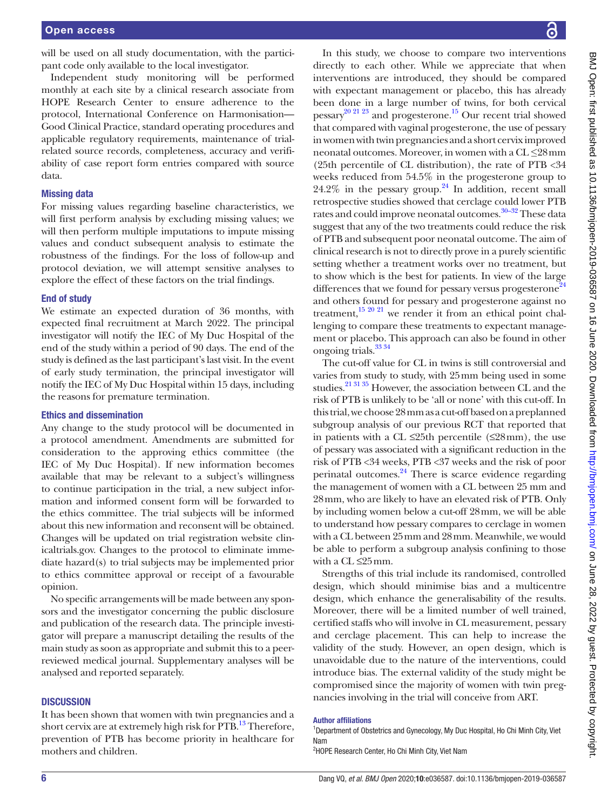will be used on all study documentation, with the participant code only available to the local investigator.

Independent study monitoring will be performed monthly at each site by a clinical research associate from HOPE Research Center to ensure adherence to the protocol, International Conference on Harmonisation— Good Clinical Practice, standard operating procedures and applicable regulatory requirements, maintenance of trialrelated source records, completeness, accuracy and verifiability of case report form entries compared with source data.

#### Missing data

For missing values regarding baseline characteristics, we will first perform analysis by excluding missing values; we will then perform multiple imputations to impute missing values and conduct subsequent analysis to estimate the robustness of the findings. For the loss of follow-up and protocol deviation, we will attempt sensitive analyses to explore the effect of these factors on the trial findings.

#### End of study

We estimate an expected duration of 36 months, with expected final recruitment at March 2022. The principal investigator will notify the IEC of My Duc Hospital of the end of the study within a period of 90 days. The end of the study is defined as the last participant's last visit. In the event of early study termination, the principal investigator will notify the IEC of My Duc Hospital within 15 days, including the reasons for premature termination.

#### Ethics and dissemination

Any change to the study protocol will be documented in a protocol amendment. Amendments are submitted for consideration to the approving ethics committee (the IEC of My Duc Hospital). If new information becomes available that may be relevant to a subject's willingness to continue participation in the trial, a new subject information and informed consent form will be forwarded to the ethics committee. The trial subjects will be informed about this new information and reconsent will be obtained. Changes will be updated on trial registration website clinicaltrials.gov. Changes to the protocol to eliminate immediate hazard(s) to trial subjects may be implemented prior to ethics committee approval or receipt of a favourable opinion.

No specific arrangements will be made between any sponsors and the investigator concerning the public disclosure and publication of the research data. The principle investigator will prepare a manuscript detailing the results of the main study as soon as appropriate and submit this to a peerreviewed medical journal. Supplementary analyses will be analysed and reported separately.

## **DISCUSSION**

It has been shown that women with twin pregnancies and a short cervix are at extremely high risk for PTB.<sup>13</sup> Therefore, prevention of PTB has become priority in healthcare for mothers and children.

In this study, we choose to compare two interventions directly to each other. While we appreciate that when interventions are introduced, they should be compared with expectant management or placebo, this has already been done in a large number of twins, for both cervical pessary<sup>20 21 23</sup> and progesterone.<sup>15</sup> Our recent trial showed that compared with vaginal progesterone, the use of pessary in women with twin pregnancies and a short cervix improved neonatal outcomes. Moreover, in women with a CL *≤*28mm (25th percentile of CL distribution), the rate of PTB <34 weeks reduced from 54.5% in the progesterone group to  $24.2\%$  in the pessary group.<sup>24</sup> In addition, recent small retrospective studies showed that cerclage could lower PTB rates and could improve neonatal outcomes.<sup>30-32</sup> These data suggest that any of the two treatments could reduce the risk of PTB and subsequent poor neonatal outcome. The aim of clinical research is not to directly prove in a purely scientific setting whether a treatment works over no treatment, but to show which is the best for patients. In view of the large differences that we found for pessary versus progesterone<sup>24</sup> and others found for pessary and progesterone against no treatment,<sup>15 20 21</sup> we render it from an ethical point challenging to compare these treatments to expectant management or placebo. This approach can also be found in other ongoing trials[.33 34](#page-6-25)

The cut-off value for CL in twins is still controversial and varies from study to study, with 25mm being used in some studies.<sup>21 31 35</sup> However, the association between CL and the risk of PTB is unlikely to be 'all or none' with this cut-off. In this trial, we choose 28mm as a cut-off based on a preplanned subgroup analysis of our previous RCT that reported that in patients with a CL  $\leq$ 25th percentile ( $\leq$ 28mm), the use of pessary was associated with a significant reduction in the risk of PTB <34 weeks, PTB <37 weeks and the risk of poor perinatal outcomes.<sup>24</sup> There is scarce evidence regarding the management of women with a CL between 25 mm and 28mm, who are likely to have an elevated risk of PTB. Only by including women below a cut-off 28mm, we will be able to understand how pessary compares to cerclage in women with a CL between 25mm and 28mm. Meanwhile, we would be able to perform a subgroup analysis confining to those with a CL ≤25mm.

Strengths of this trial include its randomised, controlled design, which should minimise bias and a multicentre design, which enhance the generalisability of the results. Moreover, there will be a limited number of well trained, certified staffs who will involve in CL measurement, pessary and cerclage placement. This can help to increase the validity of the study. However, an open design, which is unavoidable due to the nature of the interventions, could introduce bias. The external validity of the study might be compromised since the majority of women with twin pregnancies involving in the trial will conceive from ART.

#### Author affiliations

<sup>1</sup>Department of Obstetrics and Gynecology, My Duc Hospital, Ho Chi Minh City, Viet Nam

<sup>2</sup>HOPE Research Center, Ho Chi Minh City, Viet Nam